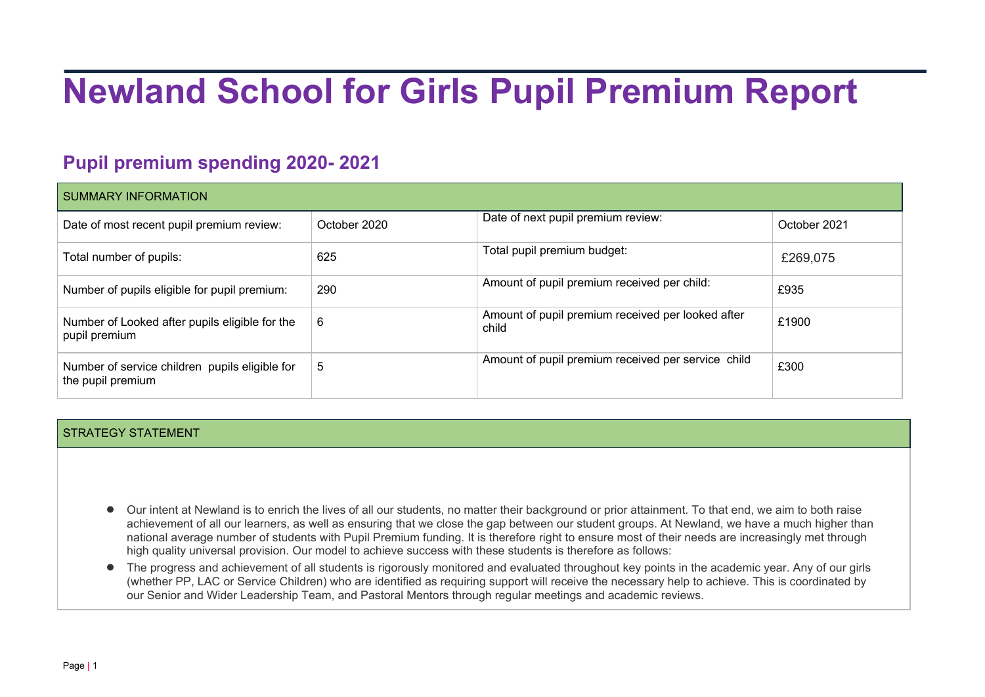# **Newland School for Girls Pupil Premium Report**

## **Pupil premium spending 2020- 2021**

| <b>SUMMARY INFORMATION</b>                                          |              |                                                            |              |  |
|---------------------------------------------------------------------|--------------|------------------------------------------------------------|--------------|--|
| Date of most recent pupil premium review:                           | October 2020 | Date of next pupil premium review:                         | October 2021 |  |
| Total number of pupils:                                             | 625          | Total pupil premium budget:                                | £269,075     |  |
| Number of pupils eligible for pupil premium:                        | 290          | Amount of pupil premium received per child:                | £935         |  |
| Number of Looked after pupils eligible for the<br>pupil premium     | 6            | Amount of pupil premium received per looked after<br>child | £1900        |  |
| Number of service children pupils eligible for<br>the pupil premium | 5            | Amount of pupil premium received per service child         | £300         |  |

#### STRATEGY STATEMENT

- Our intent at Newland is to enrich the lives of all our students, no matter their background or prior attainment. To that end, we aim to both raise achievement of all our learners, as well as ensuring that we close the gap between our student groups. At Newland, we have a much higher than national average number of students with Pupil Premium funding. It is therefore right to ensure most of their needs are increasingly met through high quality universal provision. Our model to achieve success with these students is therefore as follows:
- The progress and achievement of all students is rigorously monitored and evaluated throughout key points in the academic year. Any of our girls (whether PP, LAC or Service Children) who are identified as requiring support will receive the necessary help to achieve. This is coordinated by our Senior and Wider Leadership Team, and Pastoral Mentors through regular meetings and academic reviews.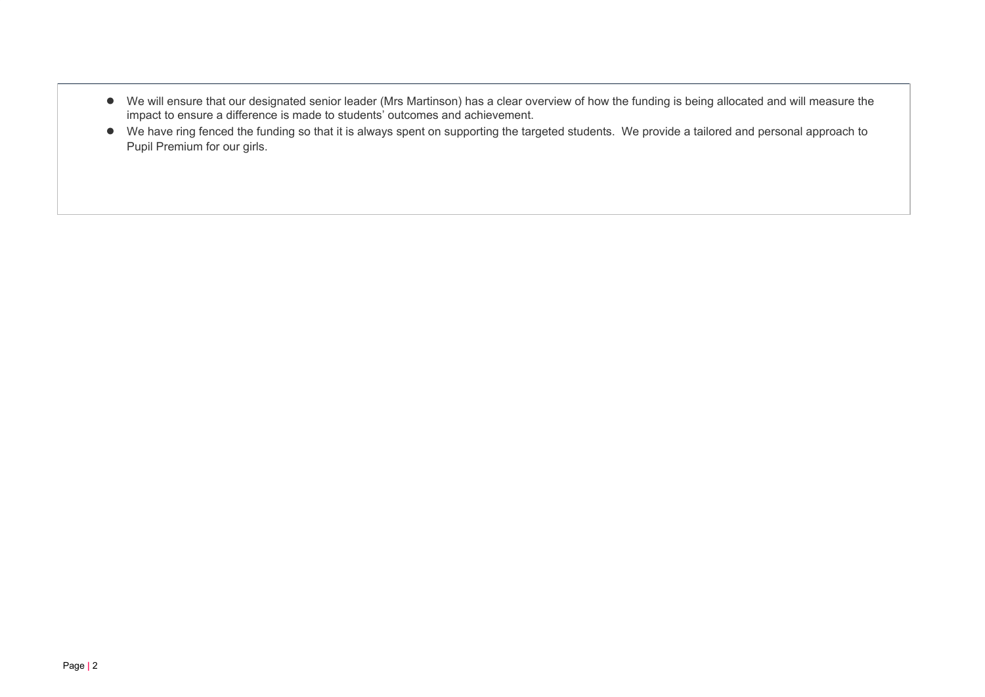- We will ensure that our designated senior leader (Mrs Martinson) has a clear overview of how the funding is being allocated and will measure the impact to ensure a difference is made to students' outcomes and achievement.
- We have ring fenced the funding so that it is always spent on supporting the targeted students. We provide a tailored and personal approach to Pupil Premium for our girls.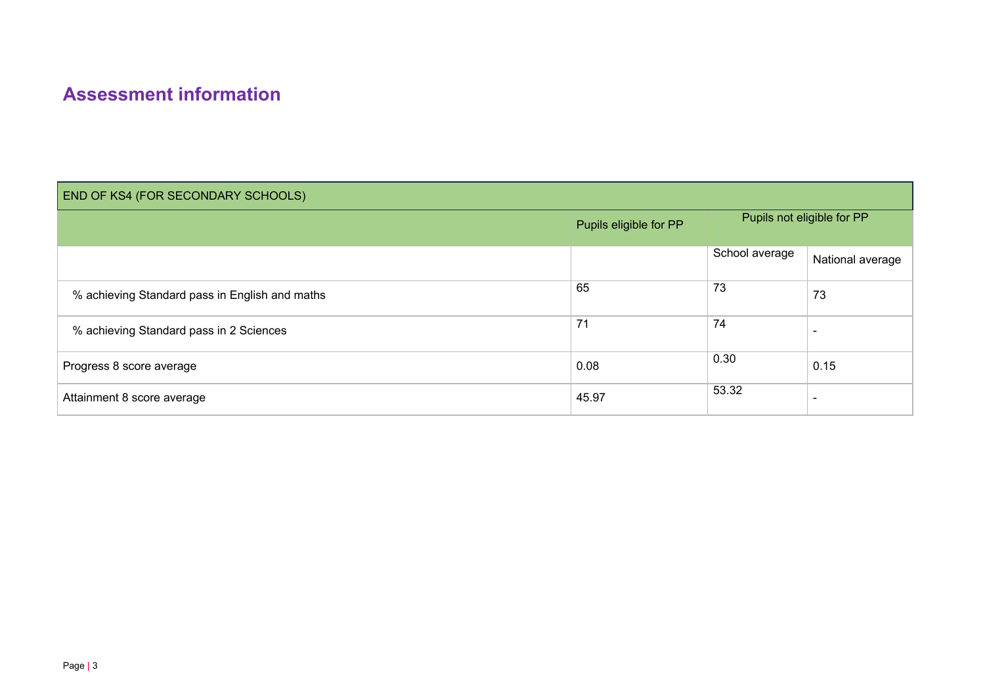#### **Assessment information**

| END OF KS4 (FOR SECONDARY SCHOOLS)             |                        |                            |                  |  |
|------------------------------------------------|------------------------|----------------------------|------------------|--|
|                                                | Pupils eligible for PP | Pupils not eligible for PP |                  |  |
|                                                |                        | School average             | National average |  |
| % achieving Standard pass in English and maths | 65                     | 73                         | 73               |  |
| % achieving Standard pass in 2 Sciences        | 71                     | 74                         |                  |  |
| Progress 8 score average                       | 0.08                   | 0.30                       | 0.15             |  |
| Attainment 8 score average                     | 45.97                  | 53.32                      |                  |  |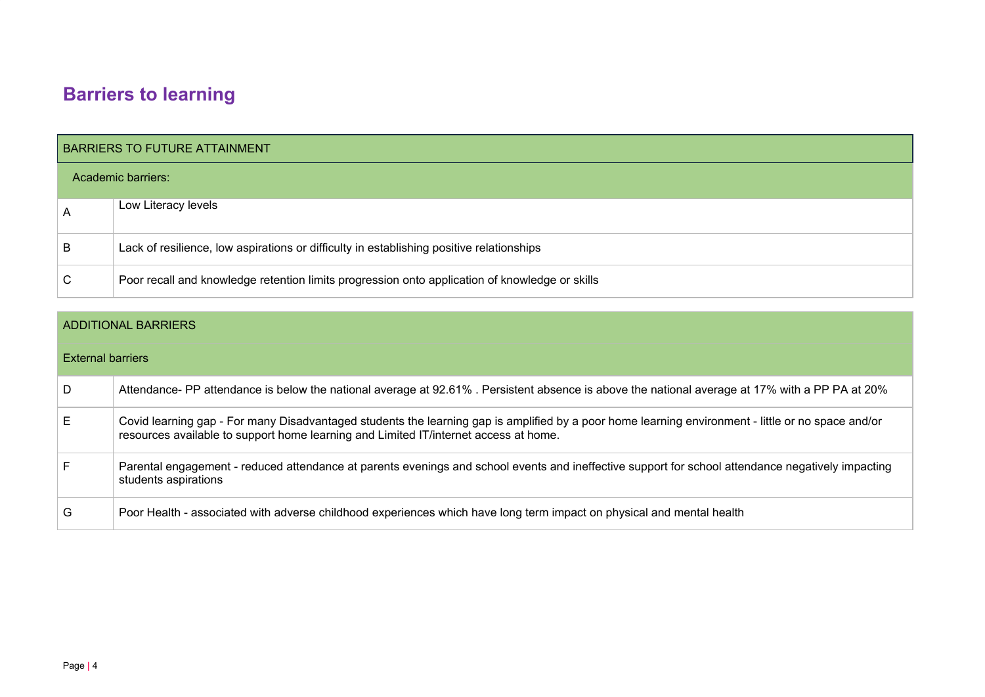## **Barriers to learning**

|                | <b>BARRIERS TO FUTURE ATTAINMENT</b>                                                           |  |  |  |
|----------------|------------------------------------------------------------------------------------------------|--|--|--|
|                | Academic barriers:                                                                             |  |  |  |
| $\overline{A}$ | Low Literacy levels                                                                            |  |  |  |
| B              | Lack of resilience, low aspirations or difficulty in establishing positive relationships       |  |  |  |
| С              | Poor recall and knowledge retention limits progression onto application of knowledge or skills |  |  |  |

|                          | <b>ADDITIONAL BARRIERS</b>                                                                                                                                                                                                                 |  |  |  |  |
|--------------------------|--------------------------------------------------------------------------------------------------------------------------------------------------------------------------------------------------------------------------------------------|--|--|--|--|
| <b>External barriers</b> |                                                                                                                                                                                                                                            |  |  |  |  |
| D                        | Attendance- PP attendance is below the national average at 92.61%. Persistent absence is above the national average at 17% with a PP PA at 20%                                                                                             |  |  |  |  |
| E.                       | Covid learning gap - For many Disadvantaged students the learning gap is amplified by a poor home learning environment - little or no space and/or<br>resources available to support home learning and Limited IT/internet access at home. |  |  |  |  |
|                          | Parental engagement - reduced attendance at parents evenings and school events and ineffective support for school attendance negatively impacting<br>students aspirations                                                                  |  |  |  |  |
| G                        | Poor Health - associated with adverse childhood experiences which have long term impact on physical and mental health                                                                                                                      |  |  |  |  |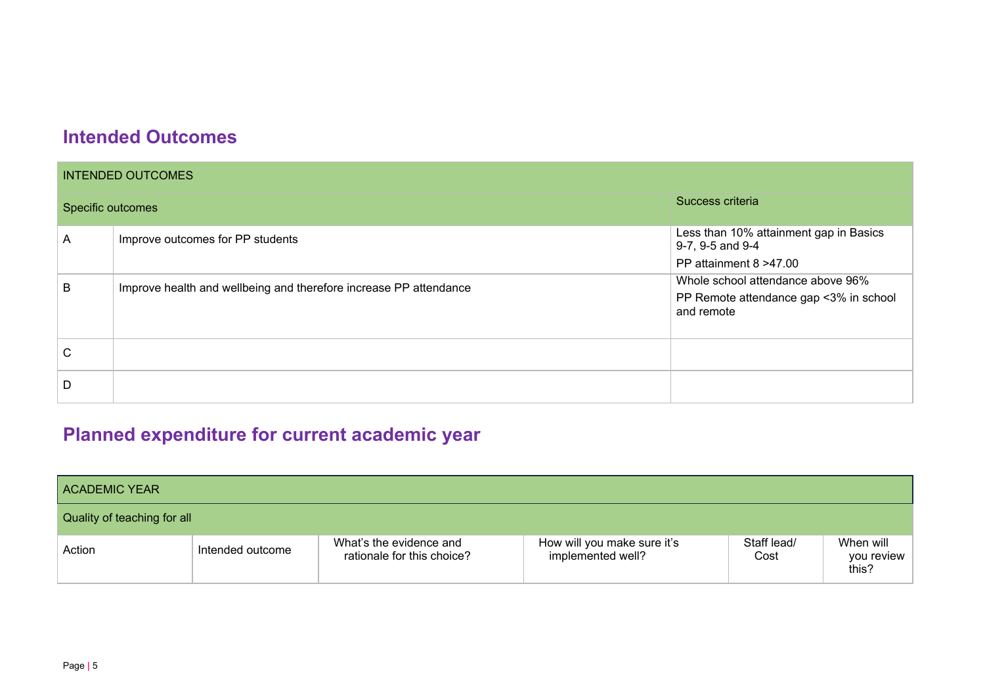### **Intended Outcomes**

| <b>INTENDED OUTCOMES</b> |                                                                   |                                                                                           |  |  |  |
|--------------------------|-------------------------------------------------------------------|-------------------------------------------------------------------------------------------|--|--|--|
| Specific outcomes        |                                                                   | Success criteria                                                                          |  |  |  |
| A                        | Improve outcomes for PP students                                  | Less than 10% attainment gap in Basics<br>9-7, 9-5 and 9-4                                |  |  |  |
|                          |                                                                   | PP attainment 8 > 47.00                                                                   |  |  |  |
| B                        | Improve health and wellbeing and therefore increase PP attendance | Whole school attendance above 96%<br>PP Remote attendance gap <3% in school<br>and remote |  |  |  |
| C                        |                                                                   |                                                                                           |  |  |  |
| D                        |                                                                   |                                                                                           |  |  |  |

# **Planned expenditure for current academic year**

| <b>ACADEMIC YEAR</b>        |                  |                                                       |                                                  |                     |                                  |
|-----------------------------|------------------|-------------------------------------------------------|--------------------------------------------------|---------------------|----------------------------------|
| Quality of teaching for all |                  |                                                       |                                                  |                     |                                  |
| Action                      | Intended outcome | What's the evidence and<br>rationale for this choice? | How will you make sure it's<br>implemented well? | Staff lead/<br>Cost | When will<br>you review<br>this? |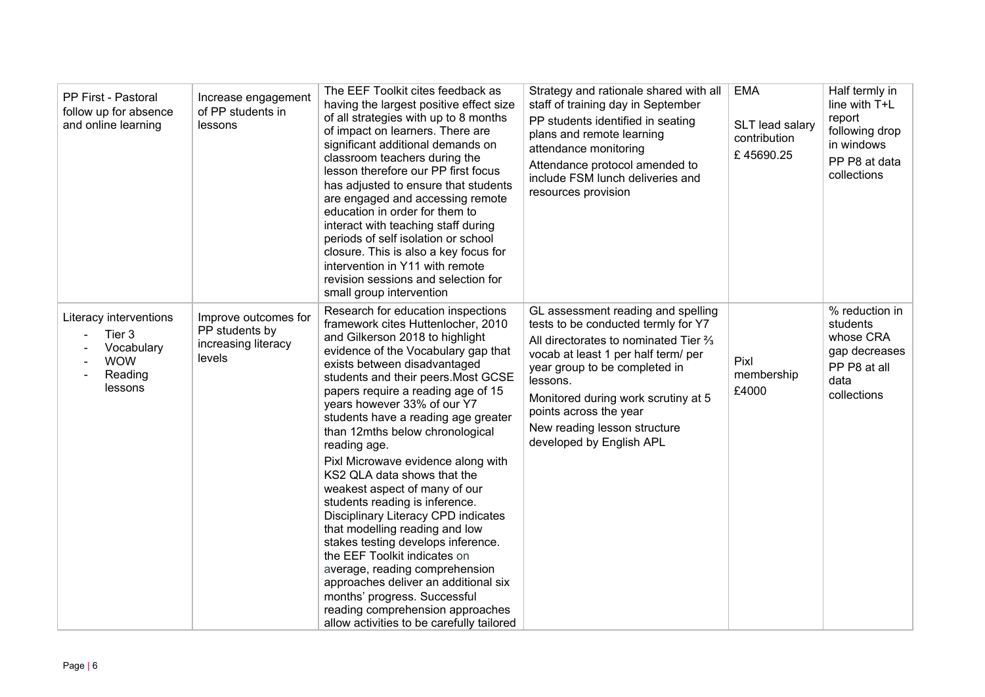| PP First - Pastoral<br>follow up for absence<br>and online learning                | Increase engagement<br>of PP students in<br>lessons                     | The EEF Toolkit cites feedback as<br>having the largest positive effect size<br>of all strategies with up to 8 months<br>of impact on learners. There are<br>significant additional demands on<br>classroom teachers during the<br>lesson therefore our PP first focus<br>has adjusted to ensure that students<br>are engaged and accessing remote<br>education in order for them to<br>interact with teaching staff during<br>periods of self isolation or school<br>closure. This is also a key focus for<br>intervention in Y11 with remote<br>revision sessions and selection for<br>small group intervention                                                                                                                                                                                                                                                          | Strategy and rationale shared with all<br>staff of training day in September<br>PP students identified in seating<br>plans and remote learning<br>attendance monitoring<br>Attendance protocol amended to<br>include FSM lunch deliveries and<br>resources provision                                                               | <b>EMA</b><br>SLT lead salary<br>contribution<br>£45690.25 | Half termly in<br>line with T+L<br>report<br>following drop<br>in windows<br>PP P8 at data<br>collections |
|------------------------------------------------------------------------------------|-------------------------------------------------------------------------|----------------------------------------------------------------------------------------------------------------------------------------------------------------------------------------------------------------------------------------------------------------------------------------------------------------------------------------------------------------------------------------------------------------------------------------------------------------------------------------------------------------------------------------------------------------------------------------------------------------------------------------------------------------------------------------------------------------------------------------------------------------------------------------------------------------------------------------------------------------------------|------------------------------------------------------------------------------------------------------------------------------------------------------------------------------------------------------------------------------------------------------------------------------------------------------------------------------------|------------------------------------------------------------|-----------------------------------------------------------------------------------------------------------|
| Literacy interventions<br>Tier 3<br>Vocabulary<br><b>WOW</b><br>Reading<br>lessons | Improve outcomes for<br>PP students by<br>increasing literacy<br>levels | Research for education inspections<br>framework cites Huttenlocher, 2010<br>and Gilkerson 2018 to highlight<br>evidence of the Vocabulary gap that<br>exists between disadvantaged<br>students and their peers. Most GCSE<br>papers require a reading age of 15<br>years however 33% of our Y7<br>students have a reading age greater<br>than 12mths below chronological<br>reading age.<br>Pixl Microwave evidence along with<br>KS2 QLA data shows that the<br>weakest aspect of many of our<br>students reading is inference.<br>Disciplinary Literacy CPD indicates<br>that modelling reading and low<br>stakes testing develops inference.<br>the EEF Toolkit indicates on<br>average, reading comprehension<br>approaches deliver an additional six<br>months' progress. Successful<br>reading comprehension approaches<br>allow activities to be carefully tailored | GL assessment reading and spelling<br>tests to be conducted termly for Y7<br>All directorates to nominated Tier %<br>vocab at least 1 per half term/ per<br>year group to be completed in<br>lessons.<br>Monitored during work scrutiny at 5<br>points across the year<br>New reading lesson structure<br>developed by English APL | Pixl<br>membership<br>£4000                                | % reduction in<br>students<br>whose CRA<br>gap decreases<br>PP P8 at all<br>data<br>collections           |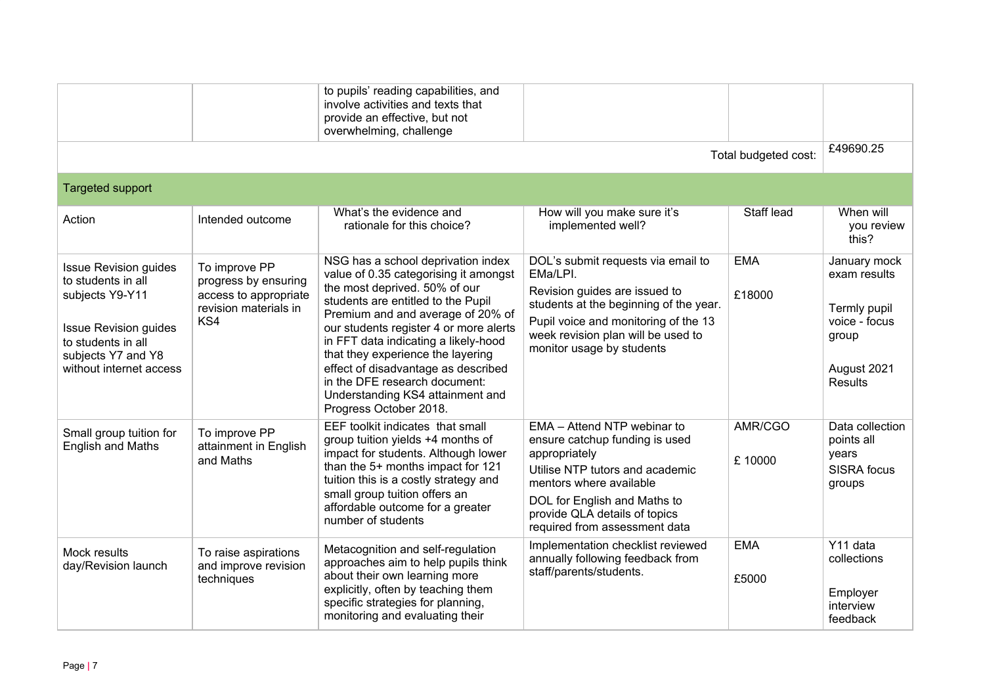|                                                                                                                                                                              |                                                                                                | to pupils' reading capabilities, and<br>involve activities and texts that<br>provide an effective, but not<br>overwhelming, challenge                                                                                                                                                                                                                                                                                                                |                                                                                                                                                                                                                                                |                      |                                                                                                  |
|------------------------------------------------------------------------------------------------------------------------------------------------------------------------------|------------------------------------------------------------------------------------------------|------------------------------------------------------------------------------------------------------------------------------------------------------------------------------------------------------------------------------------------------------------------------------------------------------------------------------------------------------------------------------------------------------------------------------------------------------|------------------------------------------------------------------------------------------------------------------------------------------------------------------------------------------------------------------------------------------------|----------------------|--------------------------------------------------------------------------------------------------|
|                                                                                                                                                                              |                                                                                                |                                                                                                                                                                                                                                                                                                                                                                                                                                                      |                                                                                                                                                                                                                                                | Total budgeted cost: | £49690.25                                                                                        |
| <b>Targeted support</b>                                                                                                                                                      |                                                                                                |                                                                                                                                                                                                                                                                                                                                                                                                                                                      |                                                                                                                                                                                                                                                |                      |                                                                                                  |
| Action                                                                                                                                                                       | Intended outcome                                                                               | What's the evidence and<br>rationale for this choice?                                                                                                                                                                                                                                                                                                                                                                                                | How will you make sure it's<br>implemented well?                                                                                                                                                                                               | Staff lead           | When will<br>you review<br>this?                                                                 |
| <b>Issue Revision guides</b><br>to students in all<br>subjects Y9-Y11<br><b>Issue Revision guides</b><br>to students in all<br>subjects Y7 and Y8<br>without internet access | To improve PP<br>progress by ensuring<br>access to appropriate<br>revision materials in<br>KS4 | NSG has a school deprivation index<br>value of 0.35 categorising it amongst<br>the most deprived. 50% of our<br>students are entitled to the Pupil<br>Premium and and average of 20% of<br>our students register 4 or more alerts<br>in FFT data indicating a likely-hood<br>that they experience the layering<br>effect of disadvantage as described<br>in the DFE research document:<br>Understanding KS4 attainment and<br>Progress October 2018. | DOL's submit requests via email to<br>EMa/LPI.<br>Revision guides are issued to<br>students at the beginning of the year.<br>Pupil voice and monitoring of the 13<br>week revision plan will be used to<br>monitor usage by students           | <b>EMA</b><br>£18000 | January mock<br>exam results<br>Termly pupil<br>voice - focus<br>group<br>August 2021<br>Results |
| Small group tuition for<br><b>English and Maths</b>                                                                                                                          | To improve PP<br>attainment in English<br>and Maths                                            | EEF toolkit indicates that small<br>group tuition yields +4 months of<br>impact for students. Although lower<br>than the 5+ months impact for 121<br>tuition this is a costly strategy and<br>small group tuition offers an<br>affordable outcome for a greater<br>number of students                                                                                                                                                                | EMA - Attend NTP webinar to<br>ensure catchup funding is used<br>appropriately<br>Utilise NTP tutors and academic<br>mentors where available<br>DOL for English and Maths to<br>provide QLA details of topics<br>required from assessment data | AMR/CGO<br>£10000    | Data collection<br>points all<br>years<br><b>SISRA</b> focus<br>groups                           |
| Mock results<br>day/Revision launch                                                                                                                                          | To raise aspirations<br>and improve revision<br>techniques                                     | Metacognition and self-regulation<br>approaches aim to help pupils think<br>about their own learning more<br>explicitly, often by teaching them<br>specific strategies for planning,<br>monitoring and evaluating their                                                                                                                                                                                                                              | Implementation checklist reviewed<br>annually following feedback from<br>staff/parents/students.                                                                                                                                               | <b>EMA</b><br>£5000  | Y11 data<br>collections<br>Employer<br>interview<br>feedback                                     |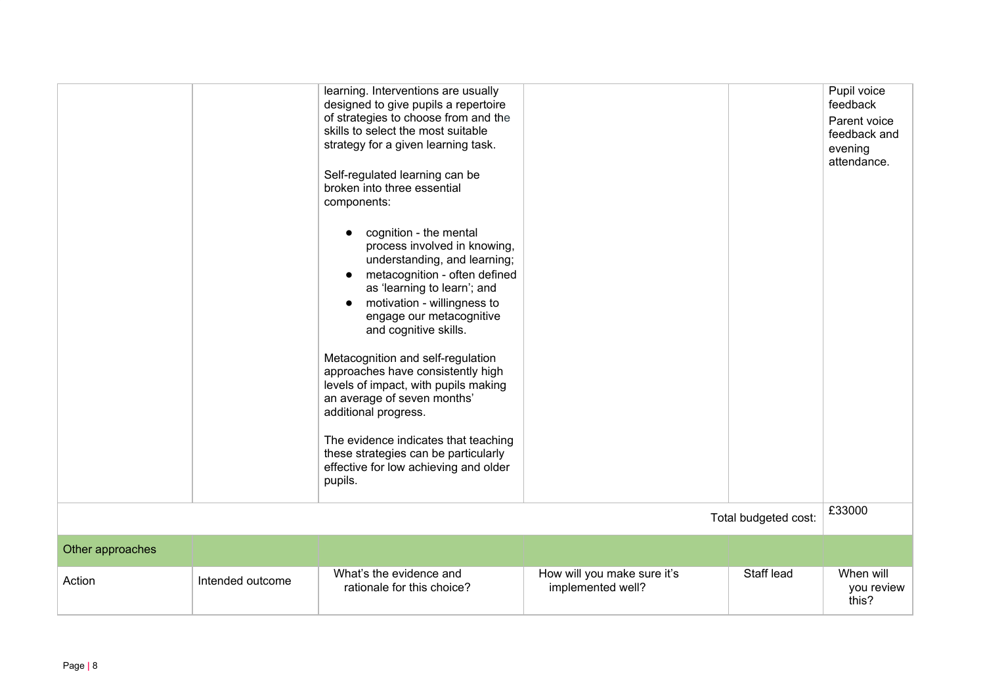|                  |                  | learning. Interventions are usually<br>designed to give pupils a repertoire<br>of strategies to choose from and the<br>skills to select the most suitable<br>strategy for a given learning task.<br>Self-regulated learning can be<br>broken into three essential<br>components:<br>cognition - the mental<br>$\bullet$<br>process involved in knowing,<br>understanding, and learning;<br>metacognition - often defined<br>$\bullet$<br>as 'learning to learn'; and<br>motivation - willingness to<br>$\bullet$<br>engage our metacognitive<br>and cognitive skills.<br>Metacognition and self-regulation<br>approaches have consistently high<br>levels of impact, with pupils making<br>an average of seven months'<br>additional progress.<br>The evidence indicates that teaching<br>these strategies can be particularly<br>effective for low achieving and older<br>pupils. |                                                  |                      | Pupil voice<br>feedback<br>Parent voice<br>feedback and<br>evening<br>attendance. |
|------------------|------------------|------------------------------------------------------------------------------------------------------------------------------------------------------------------------------------------------------------------------------------------------------------------------------------------------------------------------------------------------------------------------------------------------------------------------------------------------------------------------------------------------------------------------------------------------------------------------------------------------------------------------------------------------------------------------------------------------------------------------------------------------------------------------------------------------------------------------------------------------------------------------------------|--------------------------------------------------|----------------------|-----------------------------------------------------------------------------------|
|                  |                  |                                                                                                                                                                                                                                                                                                                                                                                                                                                                                                                                                                                                                                                                                                                                                                                                                                                                                    |                                                  | Total budgeted cost: | £33000                                                                            |
| Other approaches |                  |                                                                                                                                                                                                                                                                                                                                                                                                                                                                                                                                                                                                                                                                                                                                                                                                                                                                                    |                                                  |                      |                                                                                   |
| Action           | Intended outcome | What's the evidence and<br>rationale for this choice?                                                                                                                                                                                                                                                                                                                                                                                                                                                                                                                                                                                                                                                                                                                                                                                                                              | How will you make sure it's<br>implemented well? | Staff lead           | When will<br>you review<br>this?                                                  |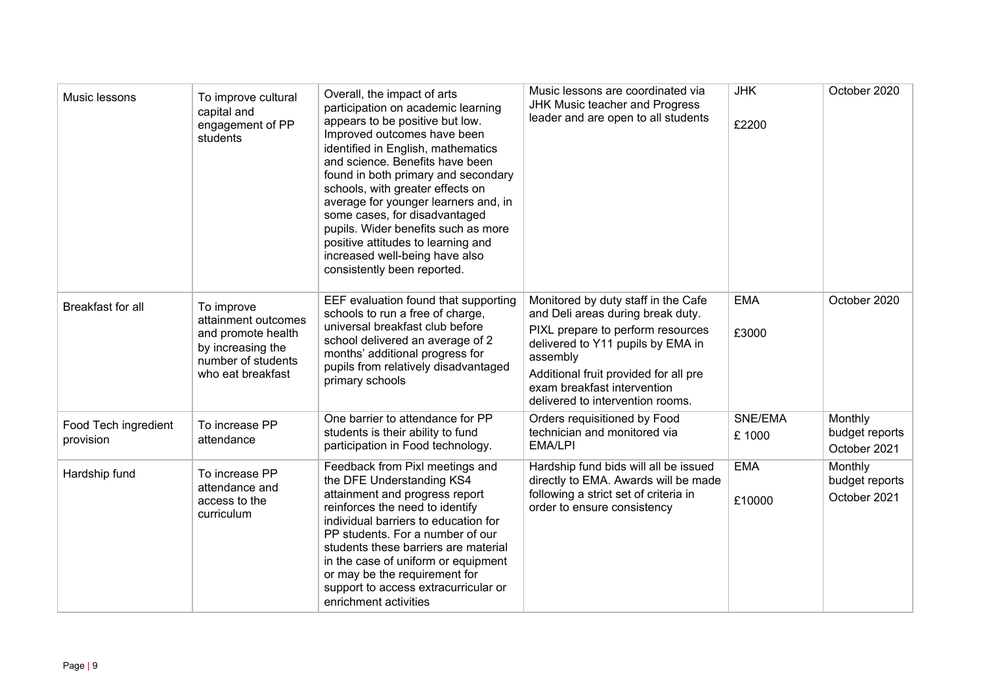| Music lessons                     | To improve cultural<br>capital and<br>engagement of PP<br>students                                                      | Overall, the impact of arts<br>participation on academic learning<br>appears to be positive but low.<br>Improved outcomes have been<br>identified in English, mathematics<br>and science. Benefits have been<br>found in both primary and secondary<br>schools, with greater effects on<br>average for younger learners and, in<br>some cases, for disadvantaged<br>pupils. Wider benefits such as more<br>positive attitudes to learning and<br>increased well-being have also<br>consistently been reported. | Music lessons are coordinated via<br><b>JHK Music teacher and Progress</b><br>leader and are open to all students                                                                                                                                                          | <b>JHK</b><br>£2200  | October 2020                              |
|-----------------------------------|-------------------------------------------------------------------------------------------------------------------------|----------------------------------------------------------------------------------------------------------------------------------------------------------------------------------------------------------------------------------------------------------------------------------------------------------------------------------------------------------------------------------------------------------------------------------------------------------------------------------------------------------------|----------------------------------------------------------------------------------------------------------------------------------------------------------------------------------------------------------------------------------------------------------------------------|----------------------|-------------------------------------------|
| Breakfast for all                 | To improve<br>attainment outcomes<br>and promote health<br>by increasing the<br>number of students<br>who eat breakfast | EEF evaluation found that supporting<br>schools to run a free of charge,<br>universal breakfast club before<br>school delivered an average of 2<br>months' additional progress for<br>pupils from relatively disadvantaged<br>primary schools                                                                                                                                                                                                                                                                  | Monitored by duty staff in the Cafe<br>and Deli areas during break duty.<br>PIXL prepare to perform resources<br>delivered to Y11 pupils by EMA in<br>assembly<br>Additional fruit provided for all pre<br>exam breakfast intervention<br>delivered to intervention rooms. | <b>EMA</b><br>£3000  | October 2020                              |
| Food Tech ingredient<br>provision | To increase PP<br>attendance                                                                                            | One barrier to attendance for PP<br>students is their ability to fund<br>participation in Food technology.                                                                                                                                                                                                                                                                                                                                                                                                     | Orders requisitioned by Food<br>technician and monitored via<br><b>EMA/LPI</b>                                                                                                                                                                                             | SNE/EMA<br>£ 1000    | Monthly<br>budget reports<br>October 2021 |
| Hardship fund                     | To increase PP<br>attendance and<br>access to the<br>curriculum                                                         | Feedback from Pixl meetings and<br>the DFE Understanding KS4<br>attainment and progress report<br>reinforces the need to identify<br>individual barriers to education for<br>PP students. For a number of our<br>students these barriers are material<br>in the case of uniform or equipment<br>or may be the requirement for<br>support to access extracurricular or<br>enrichment activities                                                                                                                 | Hardship fund bids will all be issued<br>directly to EMA. Awards will be made<br>following a strict set of criteria in<br>order to ensure consistency                                                                                                                      | <b>EMA</b><br>£10000 | Monthly<br>budget reports<br>October 2021 |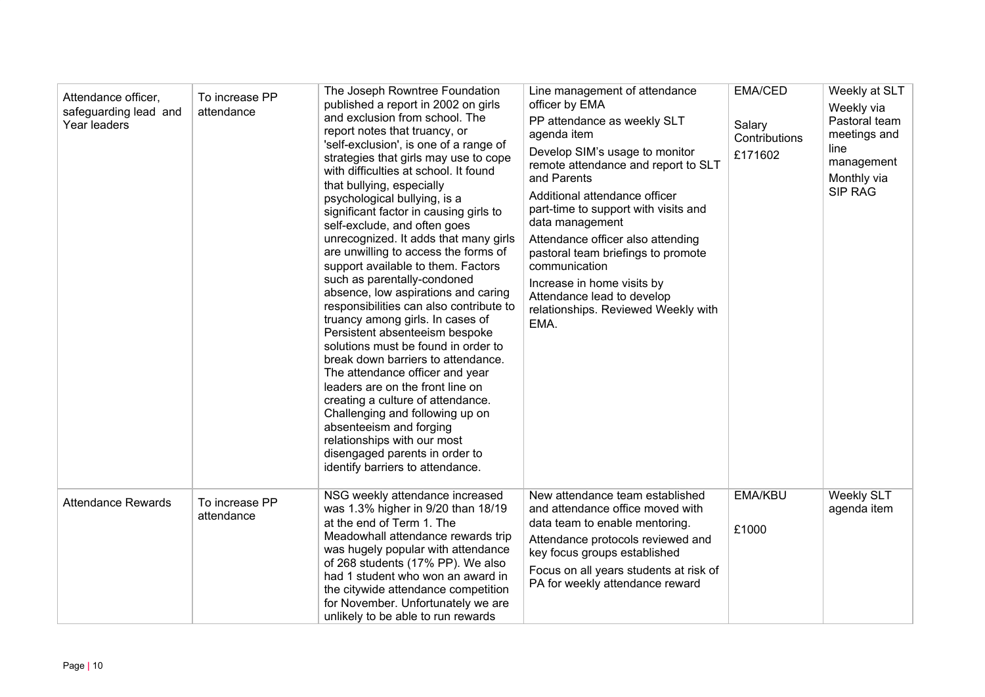| Attendance officer,<br>safeguarding lead and<br>Year leaders | To increase PP<br>attendance | The Joseph Rowntree Foundation<br>published a report in 2002 on girls<br>and exclusion from school. The<br>report notes that truancy, or<br>'self-exclusion', is one of a range of<br>strategies that girls may use to cope<br>with difficulties at school. It found<br>that bullying, especially<br>psychological bullying, is a<br>significant factor in causing girls to<br>self-exclude, and often goes<br>unrecognized. It adds that many girls<br>are unwilling to access the forms of<br>support available to them. Factors<br>such as parentally-condoned<br>absence, low aspirations and caring<br>responsibilities can also contribute to<br>truancy among girls. In cases of<br>Persistent absenteeism bespoke<br>solutions must be found in order to<br>break down barriers to attendance.<br>The attendance officer and year<br>leaders are on the front line on<br>creating a culture of attendance.<br>Challenging and following up on<br>absenteeism and forging<br>relationships with our most<br>disengaged parents in order to<br>identify barriers to attendance. | Line management of attendance<br>officer by EMA<br>PP attendance as weekly SLT<br>agenda item<br>Develop SIM's usage to monitor<br>remote attendance and report to SLT<br>and Parents<br>Additional attendance officer<br>part-time to support with visits and<br>data management<br>Attendance officer also attending<br>pastoral team briefings to promote<br>communication<br>Increase in home visits by<br>Attendance lead to develop<br>relationships. Reviewed Weekly with<br>EMA. | <b>EMA/CED</b><br>Salary<br>Contributions<br>£171602 | Weekly at SLT<br>Weekly via<br>Pastoral team<br>meetings and<br>line<br>management<br>Monthly via<br>SIP RAG |  |
|--------------------------------------------------------------|------------------------------|---------------------------------------------------------------------------------------------------------------------------------------------------------------------------------------------------------------------------------------------------------------------------------------------------------------------------------------------------------------------------------------------------------------------------------------------------------------------------------------------------------------------------------------------------------------------------------------------------------------------------------------------------------------------------------------------------------------------------------------------------------------------------------------------------------------------------------------------------------------------------------------------------------------------------------------------------------------------------------------------------------------------------------------------------------------------------------------|------------------------------------------------------------------------------------------------------------------------------------------------------------------------------------------------------------------------------------------------------------------------------------------------------------------------------------------------------------------------------------------------------------------------------------------------------------------------------------------|------------------------------------------------------|--------------------------------------------------------------------------------------------------------------|--|
| <b>Attendance Rewards</b>                                    | To increase PP<br>attendance | NSG weekly attendance increased<br>was 1.3% higher in 9/20 than 18/19<br>at the end of Term 1. The<br>Meadowhall attendance rewards trip<br>was hugely popular with attendance<br>of 268 students (17% PP). We also<br>had 1 student who won an award in<br>the citywide attendance competition<br>for November. Unfortunately we are<br>unlikely to be able to run rewards                                                                                                                                                                                                                                                                                                                                                                                                                                                                                                                                                                                                                                                                                                           | New attendance team established<br>and attendance office moved with<br>data team to enable mentoring.<br>Attendance protocols reviewed and<br>key focus groups established<br>Focus on all years students at risk of<br>PA for weekly attendance reward                                                                                                                                                                                                                                  | <b>EMA/KBU</b><br>£1000                              | <b>Weekly SLT</b><br>agenda item                                                                             |  |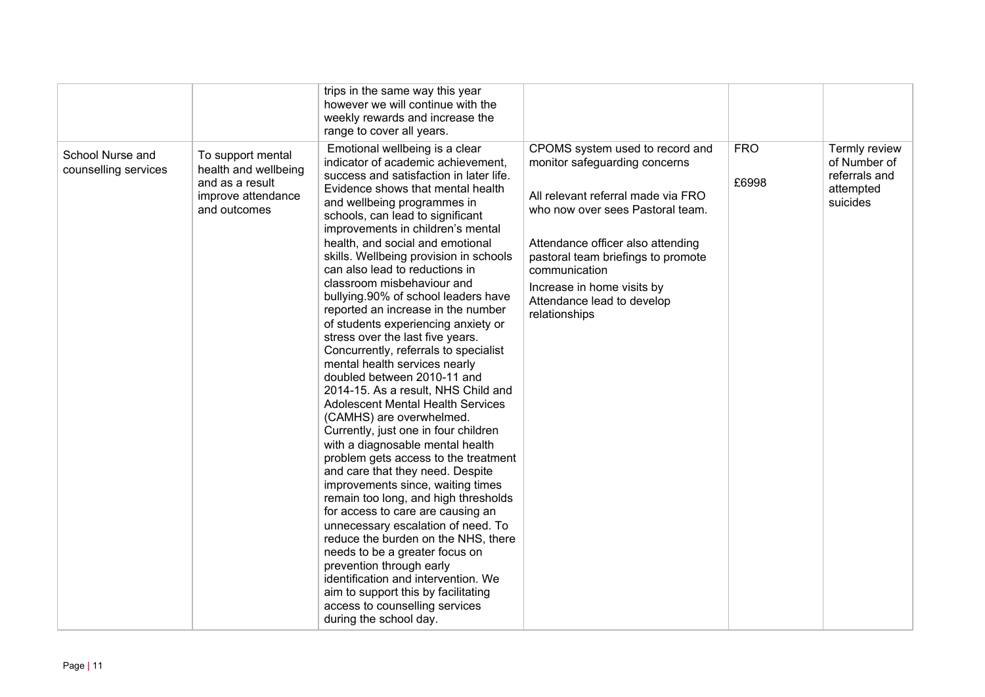|                                          |                                                                                                    | trips in the same way this year<br>however we will continue with the<br>weekly rewards and increase the<br>range to cover all years.                                                                                                                                                                                                                                                                                                                                                                                                                                                                                                                                                                                                                                                                                                                                                                                                                                                                                                                                                                                                                                                                                                                                                                                                                      |                                                                                                                                                                                                                                                                                                                     |                     |                                                                         |
|------------------------------------------|----------------------------------------------------------------------------------------------------|-----------------------------------------------------------------------------------------------------------------------------------------------------------------------------------------------------------------------------------------------------------------------------------------------------------------------------------------------------------------------------------------------------------------------------------------------------------------------------------------------------------------------------------------------------------------------------------------------------------------------------------------------------------------------------------------------------------------------------------------------------------------------------------------------------------------------------------------------------------------------------------------------------------------------------------------------------------------------------------------------------------------------------------------------------------------------------------------------------------------------------------------------------------------------------------------------------------------------------------------------------------------------------------------------------------------------------------------------------------|---------------------------------------------------------------------------------------------------------------------------------------------------------------------------------------------------------------------------------------------------------------------------------------------------------------------|---------------------|-------------------------------------------------------------------------|
| School Nurse and<br>counselling services | To support mental<br>health and wellbeing<br>and as a result<br>improve attendance<br>and outcomes | Emotional wellbeing is a clear<br>indicator of academic achievement,<br>success and satisfaction in later life.<br>Evidence shows that mental health<br>and wellbeing programmes in<br>schools, can lead to significant<br>improvements in children's mental<br>health, and social and emotional<br>skills. Wellbeing provision in schools<br>can also lead to reductions in<br>classroom misbehaviour and<br>bullying.90% of school leaders have<br>reported an increase in the number<br>of students experiencing anxiety or<br>stress over the last five years.<br>Concurrently, referrals to specialist<br>mental health services nearly<br>doubled between 2010-11 and<br>2014-15. As a result, NHS Child and<br><b>Adolescent Mental Health Services</b><br>(CAMHS) are overwhelmed.<br>Currently, just one in four children<br>with a diagnosable mental health<br>problem gets access to the treatment<br>and care that they need. Despite<br>improvements since, waiting times<br>remain too long, and high thresholds<br>for access to care are causing an<br>unnecessary escalation of need. To<br>reduce the burden on the NHS, there<br>needs to be a greater focus on<br>prevention through early<br>identification and intervention. We<br>aim to support this by facilitating<br>access to counselling services<br>during the school day. | CPOMS system used to record and<br>monitor safeguarding concerns<br>All relevant referral made via FRO<br>who now over sees Pastoral team.<br>Attendance officer also attending<br>pastoral team briefings to promote<br>communication<br>Increase in home visits by<br>Attendance lead to develop<br>relationships | <b>FRO</b><br>£6998 | Termly review<br>of Number of<br>referrals and<br>attempted<br>suicides |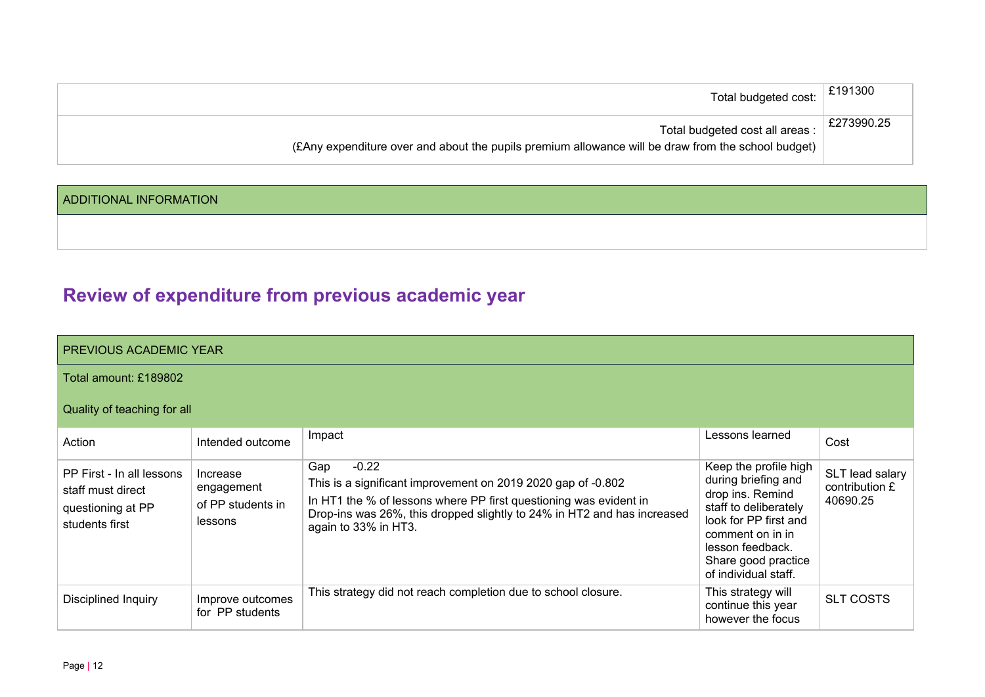| Total budgeted cost: $\left  \right.$ £191300                                                      |            |
|----------------------------------------------------------------------------------------------------|------------|
| Total budgeted cost all areas :                                                                    | £273990.25 |
| (EAny expenditure over and about the pupils premium allowance will be draw from the school budget) |            |

#### ADDITIONAL INFORMATION

# **Review of expenditure from previous academic year**

| PREVIOUS ACADEMIC YEAR                                                                |                                                        |                                                                                                                                                                                                                                                        |                                                                                                                                                                                                           |                                               |  |  |  |  |  |
|---------------------------------------------------------------------------------------|--------------------------------------------------------|--------------------------------------------------------------------------------------------------------------------------------------------------------------------------------------------------------------------------------------------------------|-----------------------------------------------------------------------------------------------------------------------------------------------------------------------------------------------------------|-----------------------------------------------|--|--|--|--|--|
| Total amount: £189802                                                                 |                                                        |                                                                                                                                                                                                                                                        |                                                                                                                                                                                                           |                                               |  |  |  |  |  |
| Quality of teaching for all                                                           |                                                        |                                                                                                                                                                                                                                                        |                                                                                                                                                                                                           |                                               |  |  |  |  |  |
| Action                                                                                | Intended outcome                                       | Impact                                                                                                                                                                                                                                                 | Lessons learned                                                                                                                                                                                           | Cost                                          |  |  |  |  |  |
| PP First - In all lessons<br>staff must direct<br>questioning at PP<br>students first | Increase<br>engagement<br>of PP students in<br>lessons | $-0.22$<br>Gap<br>This is a significant improvement on 2019 2020 gap of -0.802<br>In HT1 the % of lessons where PP first questioning was evident in<br>Drop-ins was 26%, this dropped slightly to 24% in HT2 and has increased<br>again to 33% in HT3. | Keep the profile high<br>during briefing and<br>drop ins. Remind<br>staff to deliberately<br>look for PP first and<br>comment on in in<br>lesson feedback.<br>Share good practice<br>of individual staff. | SLT lead salary<br>contribution £<br>40690.25 |  |  |  |  |  |
| Disciplined Inquiry                                                                   | Improve outcomes<br>for PP students                    | This strategy did not reach completion due to school closure.                                                                                                                                                                                          | This strategy will<br>continue this year<br>however the focus                                                                                                                                             | <b>SLT COSTS</b>                              |  |  |  |  |  |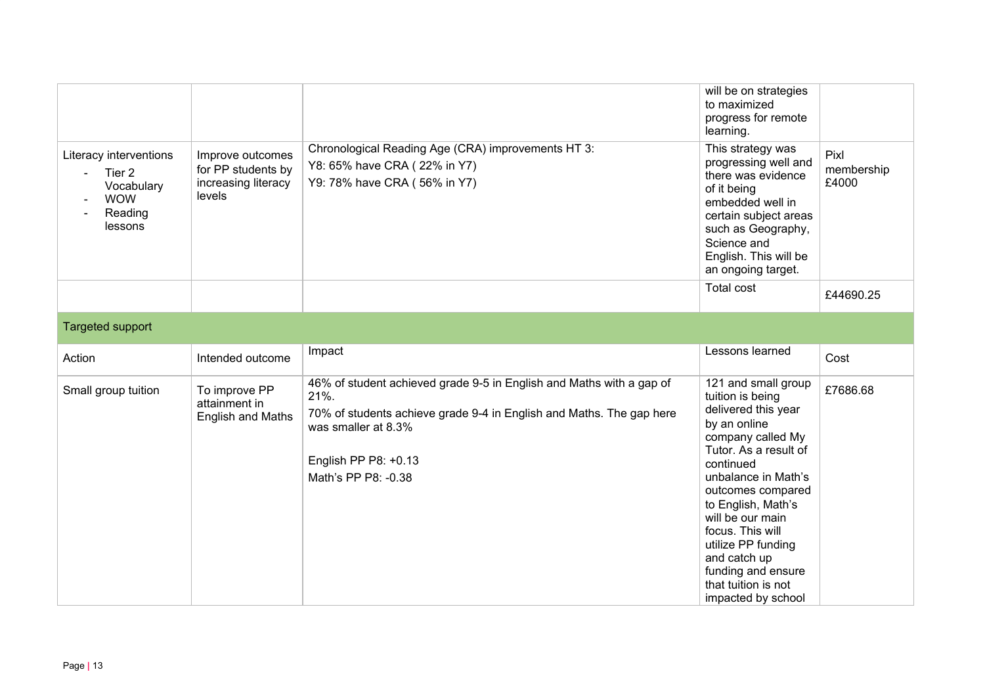| Literacy interventions<br>Tier <sub>2</sub><br>Vocabulary<br><b>WOW</b><br>Reading<br>lessons | Improve outcomes<br>for PP students by<br>increasing literacy<br>levels | Chronological Reading Age (CRA) improvements HT 3:<br>Y8: 65% have CRA (22% in Y7)<br>Y9: 78% have CRA (56% in Y7)                                                                                                         | will be on strategies<br>to maximized<br>progress for remote<br>learning.<br>This strategy was<br>progressing well and<br>there was evidence<br>of it being<br>embedded well in<br>certain subject areas<br>such as Geography,<br>Science and<br>English. This will be                                                                                       | Pixl<br>membership<br>£4000 |
|-----------------------------------------------------------------------------------------------|-------------------------------------------------------------------------|----------------------------------------------------------------------------------------------------------------------------------------------------------------------------------------------------------------------------|--------------------------------------------------------------------------------------------------------------------------------------------------------------------------------------------------------------------------------------------------------------------------------------------------------------------------------------------------------------|-----------------------------|
|                                                                                               |                                                                         |                                                                                                                                                                                                                            | an ongoing target.<br><b>Total cost</b>                                                                                                                                                                                                                                                                                                                      |                             |
|                                                                                               |                                                                         |                                                                                                                                                                                                                            |                                                                                                                                                                                                                                                                                                                                                              | £44690.25                   |
| Targeted support                                                                              |                                                                         |                                                                                                                                                                                                                            |                                                                                                                                                                                                                                                                                                                                                              |                             |
| Action                                                                                        | Intended outcome                                                        | Impact                                                                                                                                                                                                                     | Lessons learned                                                                                                                                                                                                                                                                                                                                              | Cost                        |
| Small group tuition                                                                           | To improve PP<br>attainment in<br>English and Maths                     | 46% of student achieved grade 9-5 in English and Maths with a gap of<br>21%.<br>70% of students achieve grade 9-4 in English and Maths. The gap here<br>was smaller at 8.3%<br>English PP P8: +0.13<br>Math's PP P8: -0.38 | 121 and small group<br>tuition is being<br>delivered this year<br>by an online<br>company called My<br>Tutor. As a result of<br>continued<br>unbalance in Math's<br>outcomes compared<br>to English, Math's<br>will be our main<br>focus. This will<br>utilize PP funding<br>and catch up<br>funding and ensure<br>that tuition is not<br>impacted by school | £7686.68                    |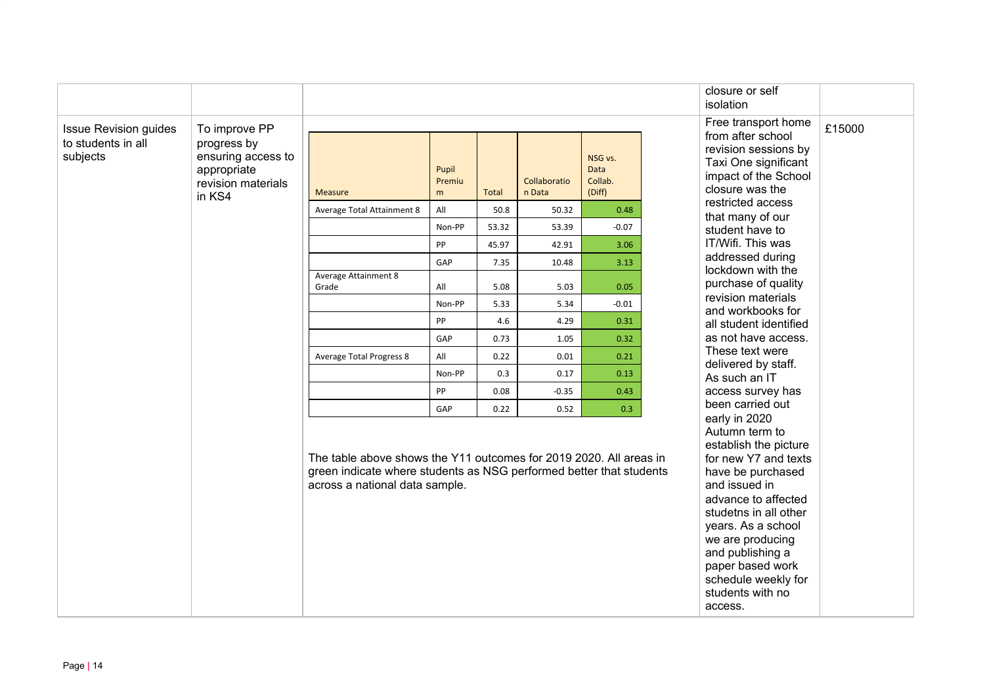|                                                                                                                                                           |        |                                                                                                                                                                             |                      |              |                        |                                             | closure or self<br>isolation                                                                                                                                                                                                                                                                  |
|-----------------------------------------------------------------------------------------------------------------------------------------------------------|--------|-----------------------------------------------------------------------------------------------------------------------------------------------------------------------------|----------------------|--------------|------------------------|---------------------------------------------|-----------------------------------------------------------------------------------------------------------------------------------------------------------------------------------------------------------------------------------------------------------------------------------------------|
| To improve PP<br><b>Issue Revision guides</b><br>to students in all<br>progress by<br>subjects<br>ensuring access to<br>appropriate<br>revision materials | in KS4 | <b>Measure</b>                                                                                                                                                              | Pupil<br>Premiu<br>m | <b>Total</b> | Collaboratio<br>n Data | NSG vs.<br><b>Data</b><br>Collab.<br>(Diff) | Free transport home<br>£15000<br>from after school<br>revision sessions by<br>Taxi One significant<br>impact of the School<br>closure was the                                                                                                                                                 |
|                                                                                                                                                           |        | Average Total Attainment 8                                                                                                                                                  | All                  | 50.8         | 50.32                  | 0.48                                        | restricted access<br>that many of our                                                                                                                                                                                                                                                         |
|                                                                                                                                                           |        |                                                                                                                                                                             | Non-PP               | 53.32        | 53.39                  | $-0.07$                                     | student have to                                                                                                                                                                                                                                                                               |
|                                                                                                                                                           |        |                                                                                                                                                                             | PP                   | 45.97        | 42.91                  | 3.06                                        | IT/Wifi. This was                                                                                                                                                                                                                                                                             |
|                                                                                                                                                           |        |                                                                                                                                                                             | GAP                  | 7.35         | 10.48                  | 3.13                                        | addressed during<br>lockdown with the                                                                                                                                                                                                                                                         |
|                                                                                                                                                           |        | Average Attainment 8<br>Grade                                                                                                                                               | All                  | 5.08         | 5.03                   | 0.05                                        | purchase of quality                                                                                                                                                                                                                                                                           |
|                                                                                                                                                           |        |                                                                                                                                                                             | Non-PP               | 5.33         | 5.34                   | $-0.01$                                     | revision materials<br>and workbooks for                                                                                                                                                                                                                                                       |
|                                                                                                                                                           |        |                                                                                                                                                                             | PP                   | 4.6          | 4.29                   | 0.31                                        | all student identified                                                                                                                                                                                                                                                                        |
|                                                                                                                                                           |        |                                                                                                                                                                             | GAP                  | 0.73         | 1.05                   | 0.32                                        | as not have access.                                                                                                                                                                                                                                                                           |
|                                                                                                                                                           |        | Average Total Progress 8                                                                                                                                                    | All                  | 0.22         | 0.01                   | 0.21                                        | These text were<br>delivered by staff.                                                                                                                                                                                                                                                        |
|                                                                                                                                                           |        |                                                                                                                                                                             | Non-PP               | 0.3          | 0.17                   | 0.13                                        | As such an IT                                                                                                                                                                                                                                                                                 |
|                                                                                                                                                           |        |                                                                                                                                                                             | PP                   | 0.08         | $-0.35$                | 0.43                                        | access survey has                                                                                                                                                                                                                                                                             |
|                                                                                                                                                           |        |                                                                                                                                                                             | GAP                  | 0.22         | 0.52                   | 0.3                                         | been carried out<br>early in 2020                                                                                                                                                                                                                                                             |
|                                                                                                                                                           |        | The table above shows the Y11 outcomes for 2019 2020. All areas in<br>green indicate where students as NSG performed better that students<br>across a national data sample. |                      |              |                        |                                             | Autumn term to<br>establish the picture<br>for new Y7 and texts<br>have be purchased<br>and issued in<br>advance to affected<br>studetns in all other<br>years. As a school<br>we are producing<br>and publishing a<br>paper based work<br>schedule weekly for<br>students with no<br>access. |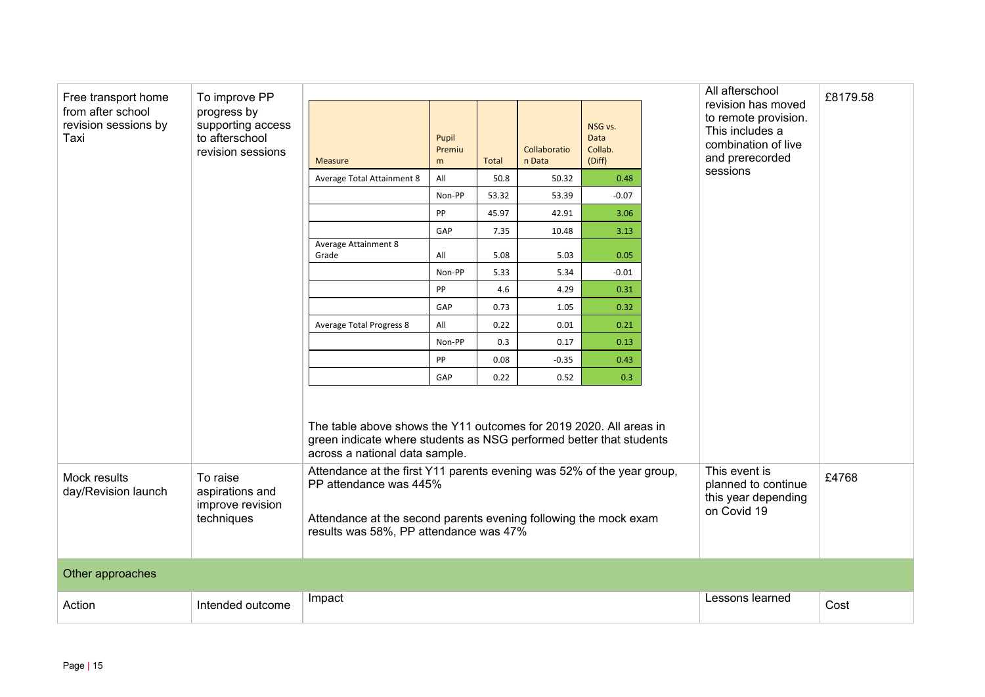| Free transport home<br>from after school<br>revision sessions by<br>Taxi | To improve PP<br>progress by<br>supporting access<br>to afterschool<br>revision sessions | <b>Measure</b>                                                                                                                                                                                                 | Pupil<br>Premiu<br>m | <b>Total</b>                                                               | Collaboratio<br>n Data | NSG vs.<br><b>Data</b><br>Collab.<br>(Diff) |  | All afterschool<br>revision has moved<br>to remote provision.<br>This includes a<br>combination of live<br>and prerecorded | £8179.58 |
|--------------------------------------------------------------------------|------------------------------------------------------------------------------------------|----------------------------------------------------------------------------------------------------------------------------------------------------------------------------------------------------------------|----------------------|----------------------------------------------------------------------------|------------------------|---------------------------------------------|--|----------------------------------------------------------------------------------------------------------------------------|----------|
|                                                                          |                                                                                          | Average Total Attainment 8                                                                                                                                                                                     | All                  | 50.8                                                                       | 50.32                  | 0.48                                        |  | sessions                                                                                                                   |          |
|                                                                          |                                                                                          |                                                                                                                                                                                                                | Non-PP               | 53.32                                                                      | 53.39                  | $-0.07$                                     |  |                                                                                                                            |          |
|                                                                          |                                                                                          |                                                                                                                                                                                                                | PP                   | 45.97                                                                      | 42.91                  | 3.06                                        |  |                                                                                                                            |          |
|                                                                          |                                                                                          |                                                                                                                                                                                                                | GAP                  | 7.35                                                                       | 10.48                  | 3.13                                        |  |                                                                                                                            |          |
|                                                                          |                                                                                          | Average Attainment 8<br>Grade                                                                                                                                                                                  | All                  | 5.08                                                                       | 5.03                   | 0.05                                        |  |                                                                                                                            |          |
|                                                                          |                                                                                          |                                                                                                                                                                                                                | Non-PP               | 5.33                                                                       | 5.34                   | $-0.01$                                     |  |                                                                                                                            |          |
|                                                                          |                                                                                          |                                                                                                                                                                                                                | PP                   | 4.6                                                                        | 4.29                   | 0.31                                        |  |                                                                                                                            |          |
|                                                                          |                                                                                          |                                                                                                                                                                                                                | GAP                  | 0.73                                                                       | 1.05                   | 0.32                                        |  |                                                                                                                            |          |
|                                                                          |                                                                                          | <b>Average Total Progress 8</b>                                                                                                                                                                                | All                  | 0.22                                                                       | 0.01                   | 0.21                                        |  |                                                                                                                            |          |
|                                                                          |                                                                                          |                                                                                                                                                                                                                | Non-PP               | 0.3                                                                        | 0.17                   | 0.13                                        |  |                                                                                                                            |          |
|                                                                          |                                                                                          |                                                                                                                                                                                                                | PP                   | 0.08                                                                       | $-0.35$                | 0.43                                        |  |                                                                                                                            |          |
|                                                                          |                                                                                          |                                                                                                                                                                                                                | GAP                  | 0.22                                                                       | 0.52                   | 0.3                                         |  |                                                                                                                            |          |
|                                                                          |                                                                                          | The table above shows the Y11 outcomes for 2019 2020. All areas in<br>green indicate where students as NSG performed better that students<br>across a national data sample.                                    |                      |                                                                            |                        |                                             |  |                                                                                                                            |          |
| Mock results<br>day/Revision launch                                      | To raise<br>aspirations and<br>improve revision<br>techniques                            | Attendance at the first Y11 parents evening was 52% of the year group,<br>PP attendance was 445%<br>Attendance at the second parents evening following the mock exam<br>results was 58%, PP attendance was 47% |                      | This event is<br>planned to continue<br>this year depending<br>on Covid 19 | £4768                  |                                             |  |                                                                                                                            |          |
| Other approaches                                                         |                                                                                          |                                                                                                                                                                                                                |                      |                                                                            |                        |                                             |  |                                                                                                                            |          |
| Action                                                                   | Intended outcome                                                                         | Impact                                                                                                                                                                                                         |                      |                                                                            |                        |                                             |  | Lessons learned                                                                                                            | Cost     |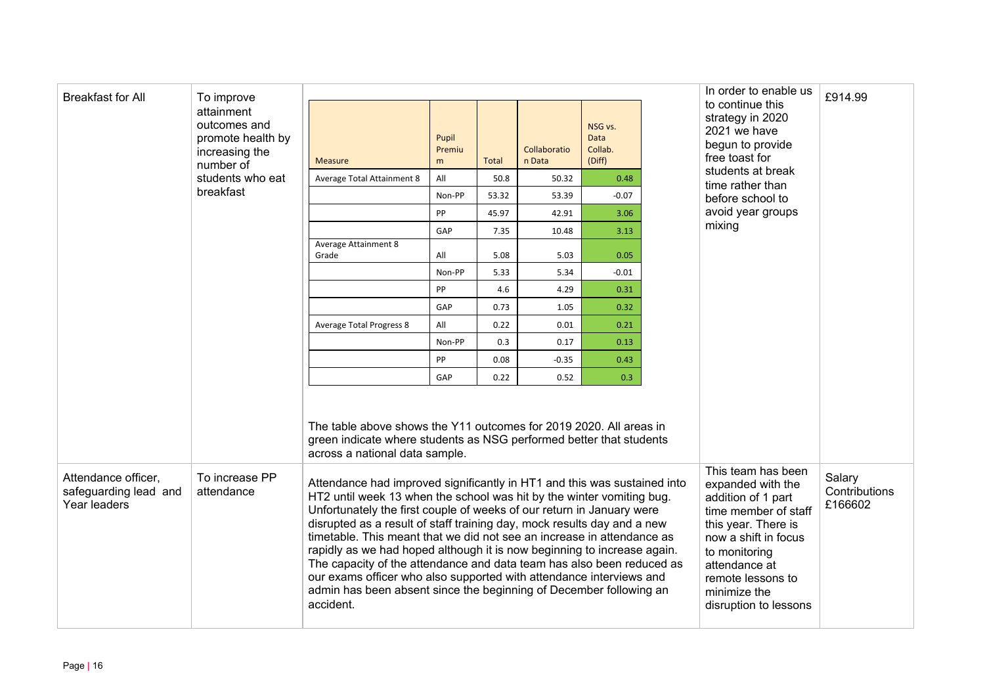| <b>Breakfast for All</b>                                     | To improve                                                                     |                                                                                                                                                                                                                                                                                                                                                                                                                                                                                                                                                                                                                                                                                               |                      | In order to enable us                                                                                                                                                                                                                | £914.99                            |                                      |                   |                                                                                            |  |
|--------------------------------------------------------------|--------------------------------------------------------------------------------|-----------------------------------------------------------------------------------------------------------------------------------------------------------------------------------------------------------------------------------------------------------------------------------------------------------------------------------------------------------------------------------------------------------------------------------------------------------------------------------------------------------------------------------------------------------------------------------------------------------------------------------------------------------------------------------------------|----------------------|--------------------------------------------------------------------------------------------------------------------------------------------------------------------------------------------------------------------------------------|------------------------------------|--------------------------------------|-------------------|--------------------------------------------------------------------------------------------|--|
|                                                              | attainment<br>outcomes and<br>promote health by<br>increasing the<br>number of | <b>Measure</b>                                                                                                                                                                                                                                                                                                                                                                                                                                                                                                                                                                                                                                                                                | Pupil<br>Premiu<br>m | <b>Total</b>                                                                                                                                                                                                                         | Collaboratio<br>n Data             | NSG vs.<br>Data<br>Collab.<br>(Diff) |                   | to continue this<br>strategy in 2020<br>2021 we have<br>begun to provide<br>free toast for |  |
|                                                              | students who eat                                                               | Average Total Attainment 8                                                                                                                                                                                                                                                                                                                                                                                                                                                                                                                                                                                                                                                                    | All                  | 50.8                                                                                                                                                                                                                                 | 50.32                              | 0.48                                 |                   | students at break<br>time rather than                                                      |  |
|                                                              | breakfast                                                                      |                                                                                                                                                                                                                                                                                                                                                                                                                                                                                                                                                                                                                                                                                               | Non-PP               | 53.32                                                                                                                                                                                                                                | 53.39                              | $-0.07$                              |                   | before school to                                                                           |  |
|                                                              |                                                                                | PP                                                                                                                                                                                                                                                                                                                                                                                                                                                                                                                                                                                                                                                                                            | 45.97                | 42.91                                                                                                                                                                                                                                | 3.06                               |                                      | avoid year groups |                                                                                            |  |
|                                                              |                                                                                | GAP                                                                                                                                                                                                                                                                                                                                                                                                                                                                                                                                                                                                                                                                                           | 7.35                 | 10.48                                                                                                                                                                                                                                | 3.13                               |                                      | mixing            |                                                                                            |  |
|                                                              |                                                                                | <b>Average Attainment 8</b><br>Grade                                                                                                                                                                                                                                                                                                                                                                                                                                                                                                                                                                                                                                                          | All                  | 5.08                                                                                                                                                                                                                                 | 5.03                               | 0.05                                 |                   |                                                                                            |  |
|                                                              |                                                                                |                                                                                                                                                                                                                                                                                                                                                                                                                                                                                                                                                                                                                                                                                               | Non-PP               | 5.33                                                                                                                                                                                                                                 | 5.34                               | $-0.01$                              |                   |                                                                                            |  |
|                                                              |                                                                                |                                                                                                                                                                                                                                                                                                                                                                                                                                                                                                                                                                                                                                                                                               | PP                   | 4.6                                                                                                                                                                                                                                  | 4.29                               | 0.31                                 |                   |                                                                                            |  |
|                                                              |                                                                                |                                                                                                                                                                                                                                                                                                                                                                                                                                                                                                                                                                                                                                                                                               | GAP                  | 0.73                                                                                                                                                                                                                                 | 1.05                               | 0.32                                 |                   |                                                                                            |  |
|                                                              |                                                                                | <b>Average Total Progress 8</b>                                                                                                                                                                                                                                                                                                                                                                                                                                                                                                                                                                                                                                                               | All                  | 0.22                                                                                                                                                                                                                                 | 0.01                               | 0.21                                 |                   |                                                                                            |  |
|                                                              |                                                                                |                                                                                                                                                                                                                                                                                                                                                                                                                                                                                                                                                                                                                                                                                               | Non-PP               | 0.3                                                                                                                                                                                                                                  | 0.17                               | 0.13                                 |                   |                                                                                            |  |
|                                                              |                                                                                |                                                                                                                                                                                                                                                                                                                                                                                                                                                                                                                                                                                                                                                                                               | PP                   | 0.08                                                                                                                                                                                                                                 | $-0.35$                            | 0.43                                 |                   |                                                                                            |  |
|                                                              |                                                                                |                                                                                                                                                                                                                                                                                                                                                                                                                                                                                                                                                                                                                                                                                               | GAP                  | 0.22                                                                                                                                                                                                                                 | 0.52                               | 0.3                                  |                   |                                                                                            |  |
|                                                              |                                                                                | The table above shows the Y11 outcomes for 2019 2020. All areas in<br>green indicate where students as NSG performed better that students<br>across a national data sample.                                                                                                                                                                                                                                                                                                                                                                                                                                                                                                                   |                      |                                                                                                                                                                                                                                      |                                    |                                      |                   |                                                                                            |  |
| Attendance officer,<br>safeguarding lead and<br>Year leaders | To increase PP<br>attendance                                                   | Attendance had improved significantly in HT1 and this was sustained into<br>HT2 until week 13 when the school was hit by the winter vomiting bug.<br>Unfortunately the first couple of weeks of our return in January were<br>disrupted as a result of staff training day, mock results day and a new<br>timetable. This meant that we did not see an increase in attendance as<br>rapidly as we had hoped although it is now beginning to increase again.<br>The capacity of the attendance and data team has also been reduced as<br>our exams officer who also supported with attendance interviews and<br>admin has been absent since the beginning of December following an<br>accident. |                      | This team has been<br>expanded with the<br>addition of 1 part<br>time member of staff<br>this year. There is<br>now a shift in focus<br>to monitoring<br>attendance at<br>remote lessons to<br>minimize the<br>disruption to lessons | Salary<br>Contributions<br>£166602 |                                      |                   |                                                                                            |  |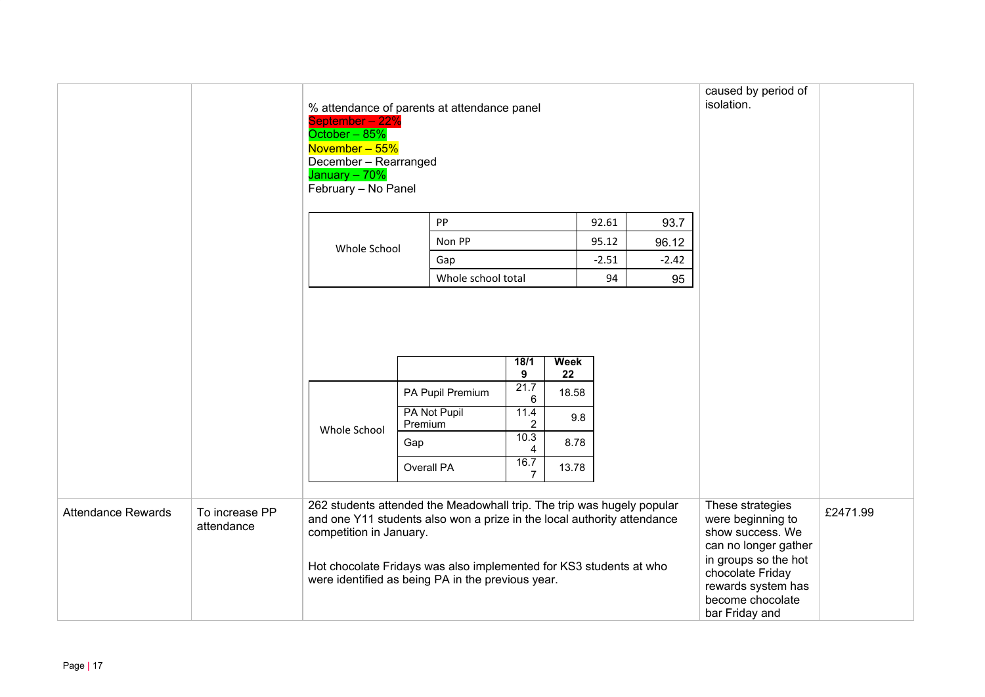|                           |                              | % attendance of parents at attendance panel<br>September - 22%<br>October - 85%<br>November - 55%<br>December - Rearranged<br>January - 70%<br>February - No Panel                                                                                                                                      |                     |                                  |                                                               |                                    |         |         | caused by period of<br>isolation.                                                                                                                                                         |          |
|---------------------------|------------------------------|---------------------------------------------------------------------------------------------------------------------------------------------------------------------------------------------------------------------------------------------------------------------------------------------------------|---------------------|----------------------------------|---------------------------------------------------------------|------------------------------------|---------|---------|-------------------------------------------------------------------------------------------------------------------------------------------------------------------------------------------|----------|
|                           |                              |                                                                                                                                                                                                                                                                                                         | PP<br>92.61<br>93.7 |                                  |                                                               |                                    |         |         |                                                                                                                                                                                           |          |
|                           |                              | Whole School                                                                                                                                                                                                                                                                                            |                     | Non PP                           |                                                               |                                    | 95.12   | 96.12   |                                                                                                                                                                                           |          |
|                           |                              |                                                                                                                                                                                                                                                                                                         |                     | Gap                              |                                                               |                                    | $-2.51$ | $-2.42$ |                                                                                                                                                                                           |          |
|                           |                              |                                                                                                                                                                                                                                                                                                         |                     | Whole school total               |                                                               |                                    | 94      | 95      |                                                                                                                                                                                           |          |
|                           |                              | Whole School                                                                                                                                                                                                                                                                                            | Premium<br>Gap      | PA Pupil Premium<br>PA Not Pupil | 18/1<br>9<br>21.7<br>6<br>11.4<br>$\overline{2}$<br>10.3<br>4 | Week<br>22<br>18.58<br>9.8<br>8.78 |         |         |                                                                                                                                                                                           |          |
|                           |                              |                                                                                                                                                                                                                                                                                                         |                     | Overall PA                       | 16.7<br>$\overline{7}$                                        | 13.78                              |         |         |                                                                                                                                                                                           |          |
| <b>Attendance Rewards</b> | To increase PP<br>attendance | 262 students attended the Meadowhall trip. The trip was hugely popular<br>and one Y11 students also won a prize in the local authority attendance<br>competition in January.<br>Hot chocolate Fridays was also implemented for KS3 students at who<br>were identified as being PA in the previous year. |                     |                                  |                                                               |                                    |         |         | These strategies<br>were beginning to<br>show success. We<br>can no longer gather<br>in groups so the hot<br>chocolate Friday<br>rewards system has<br>become chocolate<br>bar Friday and | £2471.99 |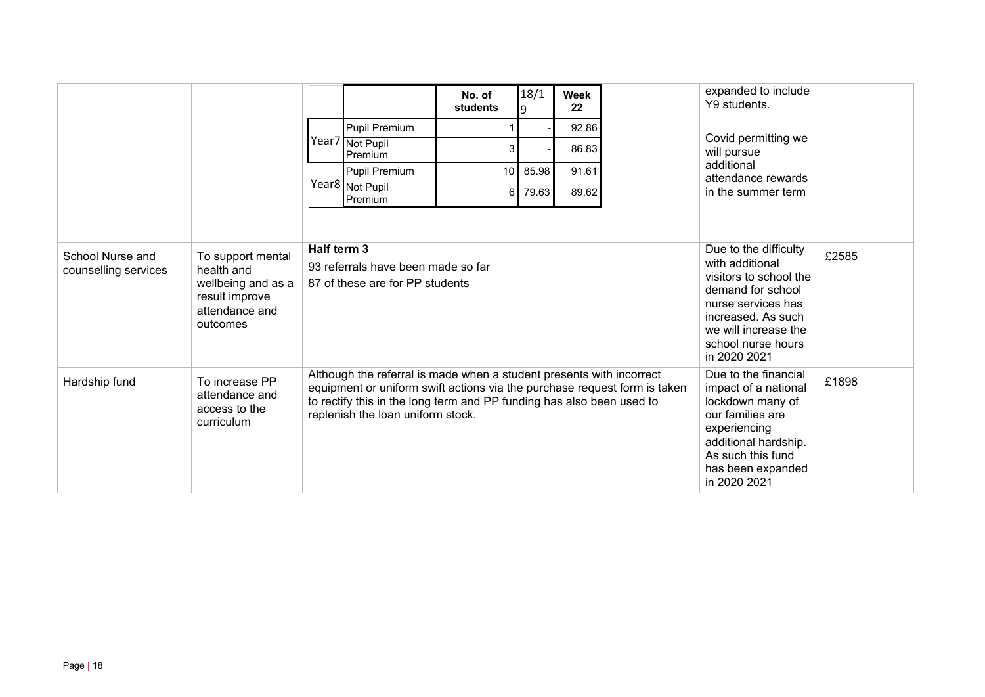|                                          |                                                                                                       |                                                                                                                                                                                                                                                                 |                                                                       | No. of<br>students | 18/1                                                                                                                                                                                              | Week<br>22 |  | expanded to include<br>Y9 students.                                                                                                                                                    |       |
|------------------------------------------|-------------------------------------------------------------------------------------------------------|-----------------------------------------------------------------------------------------------------------------------------------------------------------------------------------------------------------------------------------------------------------------|-----------------------------------------------------------------------|--------------------|---------------------------------------------------------------------------------------------------------------------------------------------------------------------------------------------------|------------|--|----------------------------------------------------------------------------------------------------------------------------------------------------------------------------------------|-------|
|                                          |                                                                                                       |                                                                                                                                                                                                                                                                 | Pupil Premium                                                         |                    |                                                                                                                                                                                                   | 92.86      |  |                                                                                                                                                                                        |       |
|                                          |                                                                                                       |                                                                                                                                                                                                                                                                 | Year7 Not Pupil<br>Premium                                            | 3                  |                                                                                                                                                                                                   | 86.83      |  | Covid permitting we<br>will pursue                                                                                                                                                     |       |
|                                          |                                                                                                       |                                                                                                                                                                                                                                                                 | Pupil Premium                                                         | 10                 | 85.98                                                                                                                                                                                             | 91.61      |  | additional<br>attendance rewards                                                                                                                                                       |       |
|                                          |                                                                                                       |                                                                                                                                                                                                                                                                 | Year8 Not Pupil<br>Premium                                            | 6                  | 79.63                                                                                                                                                                                             | 89.62      |  | in the summer term                                                                                                                                                                     |       |
|                                          |                                                                                                       |                                                                                                                                                                                                                                                                 |                                                                       |                    |                                                                                                                                                                                                   |            |  |                                                                                                                                                                                        |       |
| School Nurse and<br>counselling services | To support mental<br>health and<br>wellbeing and as a<br>result improve<br>attendance and<br>outcomes | Half term 3                                                                                                                                                                                                                                                     | 93 referrals have been made so far<br>87 of these are for PP students |                    | Due to the difficulty<br>with additional<br>visitors to school the<br>demand for school<br>nurse services has<br>increased. As such<br>we will increase the<br>school nurse hours<br>in 2020 2021 | £2585      |  |                                                                                                                                                                                        |       |
| Hardship fund                            | To increase PP<br>attendance and<br>access to the<br>curriculum                                       | Although the referral is made when a student presents with incorrect<br>equipment or uniform swift actions via the purchase request form is taken<br>to rectify this in the long term and PP funding has also been used to<br>replenish the loan uniform stock. |                                                                       |                    |                                                                                                                                                                                                   |            |  | Due to the financial<br>impact of a national<br>lockdown many of<br>our families are<br>experiencing<br>additional hardship.<br>As such this fund<br>has been expanded<br>in 2020 2021 | £1898 |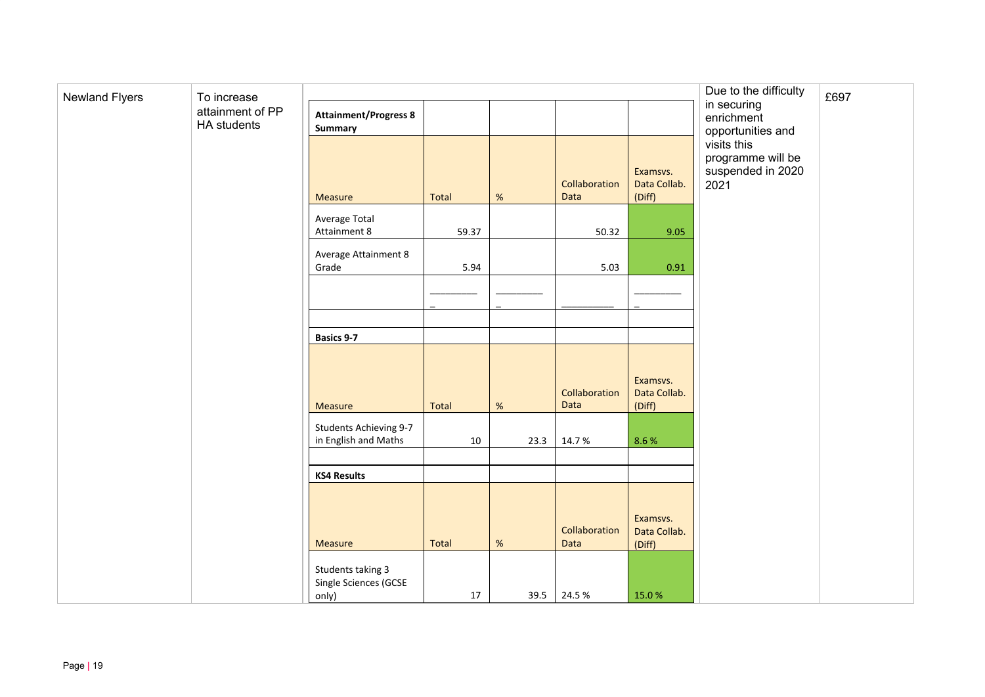| <b>Newland Flyers</b> | To increase                     |                                                     |       | Due to the difficulty | £697                  |                                    |                                                               |  |
|-----------------------|---------------------------------|-----------------------------------------------------|-------|-----------------------|-----------------------|------------------------------------|---------------------------------------------------------------|--|
|                       | attainment of PP<br>HA students | <b>Attainment/Progress 8</b><br><b>Summary</b>      |       |                       |                       |                                    | in securing<br>enrichment<br>opportunities and                |  |
|                       |                                 | Measure                                             | Total | $\%$                  | Collaboration<br>Data | Examsvs.<br>Data Collab.<br>(Diff) | visits this<br>programme will be<br>suspended in 2020<br>2021 |  |
|                       |                                 | Average Total<br>Attainment 8                       | 59.37 |                       | 50.32                 | 9.05                               |                                                               |  |
|                       |                                 | <b>Average Attainment 8</b><br>Grade                | 5.94  |                       | 5.03                  | 0.91                               |                                                               |  |
|                       |                                 |                                                     |       |                       |                       |                                    |                                                               |  |
|                       |                                 | <b>Basics 9-7</b>                                   |       |                       |                       |                                    |                                                               |  |
|                       |                                 | Measure                                             | Total | $\%$                  | Collaboration<br>Data | Examsvs.<br>Data Collab.<br>(Diff) |                                                               |  |
|                       |                                 | Students Achieving 9-7<br>in English and Maths      | 10    | 23.3                  | 14.7%                 | 8.6%                               |                                                               |  |
|                       |                                 | <b>KS4 Results</b>                                  |       |                       |                       |                                    |                                                               |  |
|                       |                                 | Measure                                             | Total | $\%$                  | Collaboration<br>Data | Examsvs.<br>Data Collab.<br>(Diff) |                                                               |  |
|                       |                                 | Students taking 3<br>Single Sciences (GCSE<br>only) | 17    |                       | 39.5 24.5 %           | 15.0%                              |                                                               |  |